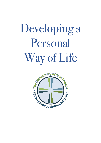# Developing a Personal Way of Life

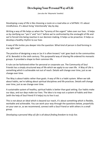#### **Developing Your Personal Way of Life**

*(see also the 'Waymarks' booklet)*

Developing a way of life is like choosing a route on a road atlas or a SATNAV. It's about mindfulness. It's about living 'intentionally' day by day

Writing a way of life helps us when the "tyranny of the urgent" takes over our lives . It helps us by clarifying our "yes's" and "no's" before we're confronted by the onslaught of life and we're forced into being reactive in our decision making. It helps us be proactive. It helps us develop a healthy rhythm to our lives

A way of life invites you deeper into the question: What kind of person is God forming in me right now?

The practice of designing a way or (as it is often known) 'rule' goes back to the communities of St. Benedict in the sixth century. This purposeful way of sharing life ordered his monastic groups. It provided a shape to their common life.

A rule can be fashioned either for personal or corporate use. The Community of Soul Friends has a simply structured way of life which we apply to our own life. A Way of Life is something which is achievable not out of reach. Details will change over time, just as we change over time.

The Way is about habits rather than goals. A way of life is a habit system. When we talk about habits, we're talking about spiritual disciplines and life practices. Details will change over time, just as we change over time.

A sustainable system of healthy, spiritual habits is better than goal setting. Our habits make our days, and our days make our lives. The idea is to map out a system of habits and then (with the help of Soul friend if it helps) try to live it out.

This is not about an ideal which is beyond our reach, it's about something which is flexible, workable and achievable. You can work your way through the questions below, prayerfully on your own or, as we recommend, connect with a Soul Friend or with others in a small group.

*Developing a personal Way of Life is all about finding freedom to truly live*.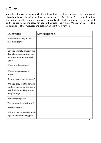## *1. Prayer*

A rhythm of prayer is the bedrock of our life with God. It does not have to be onerous and should not be guilt-inducing, but it will re- quire a sense of discipline. The community offers a very simple rhythm of prayer: morning, noon and night which is intended as a starting point and as an aid to creating space for God in the midst of busy lives. We also have access to a wide range of other resources and tools which might work for you.

| Questions                                                                                                                   | My Response |
|-----------------------------------------------------------------------------------------------------------------------------|-------------|
| What times of day do you<br>feel most alert?                                                                                |             |
| Can you identify times in the<br>day when you can stop, even<br>for a few minutes and seek<br>God?<br>When are these times? |             |
| Where are you going to<br>pray?                                                                                             |             |
| Do you have a special place?                                                                                                |             |
| Will you pray 'on the go'? At<br>work, in the car on the bus or<br>train? While walking or run-<br>ning/cycling?            |             |
| How will you pray?                                                                                                          |             |
| The community short form?                                                                                                   |             |
| Another form?                                                                                                               |             |
| Will you use some daily read-<br>ings or a Bible reading plan?                                                              |             |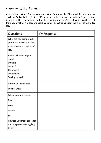### *2. Rhythm of Work & Rest*

Along with a rhythm of prayer comes a rhythm for the whole of life which includes work & service of God and others (both paid/unpaid), as well as times of rest and time for re-creation in our lives. This is an antidote to the often-hectic nature of 21st century life. Work is a gift from God whether it is paid or unpaid, voluntary or just going about the things of every day life.

| Questions                                                                                              | My Response |
|--------------------------------------------------------------------------------------------------------|-------------|
| What are you doing which<br>gets in the way of you living<br>a more balanced rhythm of<br>life?        |             |
| How much time do you<br>spend:<br>On work?<br>On rest?<br>On prayer?<br>On hobbies?<br>Serving others? |             |
| Is there an imbalance?<br>In what way?                                                                 |             |
| Take a look at a typical:<br>Day<br>Week                                                               |             |
| Month<br>Year<br>How can you make space for<br>the things you're struggling<br>to do?                  |             |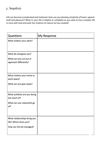### *3. Simplicity*

Life can become complicated and cluttered. How can you develop simplicity of heart, speech, stuff and pleasure? What in your life is helpful or unhelpful as you seek to live a simpler life in tune with God and with the rhythms of nature he has created?

| Questions                     | My Response |
|-------------------------------|-------------|
| What clutters your spirit?    |             |
|                               |             |
| What de-energises you?        |             |
| What can you cut out or       |             |
| approach differently?         |             |
|                               |             |
| What clutters your home or    |             |
| work space?                   |             |
| What can you give away?       |             |
|                               |             |
| What activities are you doing |             |
| too much of?                  |             |
| What can you reduce/let go    |             |
| of?                           |             |
|                               |             |
| What relationships bring you  |             |
| life? Which drain you?        |             |
| How can this be managed?      |             |
|                               |             |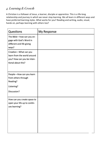## *4. Learning & Growth*

A Christian is a follower of Jesus, a learner, disciple or apprentice. This is a life-long relationship and journey in which we never stop learning. We all learn in different ways and have preferred learning styles. What works for you? Reading and writing, audio, visual, hands on, perhaps learning with others too?

| Questions                                                                                                | My Response |
|----------------------------------------------------------------------------------------------------------|-------------|
| The Bible-how can you en-<br>gage with God's Word in<br>different and life giving<br>ways?               |             |
| Creation-What can you<br>learn from the world around<br>you? How can you be inten-<br>tional about this? |             |
| People-How can you learn<br>from others through<br>Reading?<br>Listening?<br>Discussion?                 |             |
| How can you create space to<br>open your life up to contin-<br>ues learning?                             |             |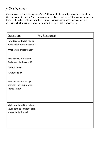#### *5. Serving Others*

Christians are called to be agents of God's Kingdom in the world; caring about the things God cares about, seeking God's purposes and guidance; making a difference wherever and however he calls us. The pattern Jesus established was one of disciples making more disciples, who then go out, bringing hope to the world in all sorts of ways.

| Questions                    | My Response |
|------------------------------|-------------|
| How does God want you to     |             |
| make a difference to others? |             |
| What are your Frontlines?    |             |
| How can you join in with     |             |
| God's work in the world?     |             |
| Close to home?               |             |
| Further afield?              |             |
|                              |             |
| How can you encourage        |             |
| others in their apprentice-  |             |
| ship to Jesus?               |             |
|                              |             |
|                              |             |
| Might you be willing to be a |             |
| Soul Friend to someone else, |             |
| now or in the future?        |             |
|                              |             |
|                              |             |
|                              |             |